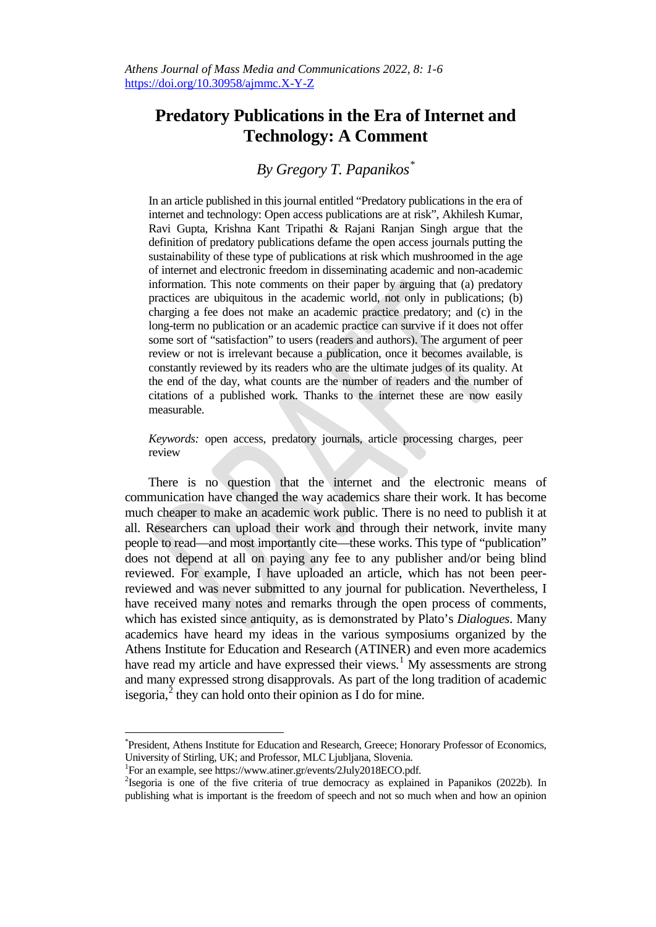## **Predatory Publications in the Era of Internet and Technology: A Comment**

## *By Gregory T. Papanikos[\\*](#page-0-0)*

In an article published in this journal entitled "Predatory publications in the era of internet and technology: Open access publications are at risk", Akhilesh Kumar, Ravi Gupta, Krishna Kant Tripathi & Rajani Ranjan Singh argue that the definition of predatory publications defame the open access journals putting the sustainability of these type of publications at risk which mushroomed in the age of internet and electronic freedom in disseminating academic and non-academic information. This note comments on their paper by arguing that (a) predatory practices are ubiquitous in the academic world, not only in publications; (b) charging a fee does not make an academic practice predatory; and (c) in the long-term no publication or an academic practice can survive if it does not offer some sort of "satisfaction" to users (readers and authors). The argument of peer review or not is irrelevant because a publication, once it becomes available, is constantly reviewed by its readers who are the ultimate judges of its quality. At the end of the day, what counts are the number of readers and the number of citations of a published work. Thanks to the internet these are now easily measurable.

*Keywords:* open access, predatory journals, article processing charges, peer review

There is no question that the internet and the electronic means of communication have changed the way academics share their work. It has become much cheaper to make an academic work public. There is no need to publish it at all. Researchers can upload their work and through their network, invite many people to read—and most importantly cite—these works. This type of "publication" does not depend at all on paying any fee to any publisher and/or being blind reviewed. For example, I have uploaded an article, which has not been peerreviewed and was never submitted to any journal for publication. Nevertheless, I have received many notes and remarks through the open process of comments, which has existed since antiquity, as is demonstrated by Plato's *Dialogues*. Many academics have heard my ideas in the various symposiums organized by the Athens Institute for Education and Research (ATINER) and even more academics have read my article and have expressed their views.<sup>[1](#page-0-1)</sup> My assessments are strong and many expressed strong disapprovals. As part of the long tradition of academic isegoria, $^2$  $^2$  they can hold onto their opinion as I do for mine.

<span id="page-0-0"></span>\* <sup>\*</sup>President, Athens Institute for Education and Research, Greece; Honorary Professor of Economics, University of Stirling, UK; and Professor, MLC Ljubljana, Slovenia. <sup>1</sup>

For an example, see [https://www.atiner.gr/events/2July2018ECO.pdf.](https://www.atiner.gr/events/2July2018ECO.pdf) 2

<span id="page-0-2"></span><span id="page-0-1"></span><sup>&</sup>lt;sup>2</sup>Isegoria is one of the five criteria of true democracy as explained in Papanikos (2022b). In publishing what is important is the freedom of speech and not so much when and how an opinion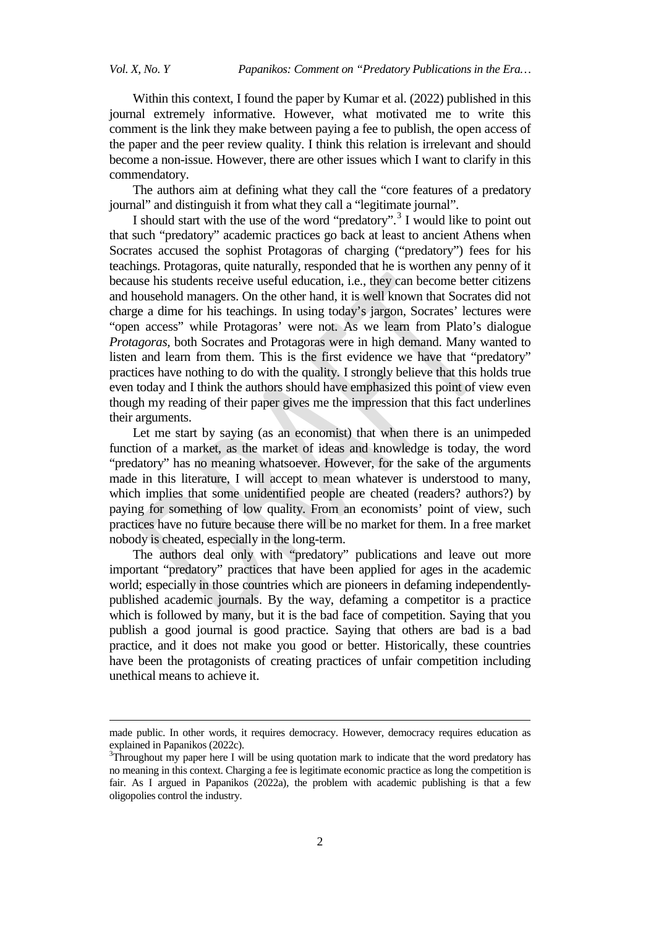**.** 

Within this context, I found the paper by Kumar et al. (2022) published in this journal extremely informative. However, what motivated me to write this comment is the link they make between paying a fee to publish, the open access of the paper and the peer review quality. I think this relation is irrelevant and should become a non-issue. However, there are other issues which I want to clarify in this commendatory.

The authors aim at defining what they call the "core features of a predatory journal" and distinguish it from what they call a "legitimate journal".

I should start with the use of the word "predatory".<sup>[3](#page-1-0)</sup> I would like to point out that such "predatory" academic practices go back at least to ancient Athens when Socrates accused the sophist Protagoras of charging ("predatory") fees for his teachings. Protagoras, quite naturally, responded that he is worthen any penny of it because his students receive useful education, i.e., they can become better citizens and household managers. On the other hand, it is well known that Socrates did not charge a dime for his teachings. In using today's jargon, Socrates' lectures were "open access" while Protagoras' were not. As we learn from Plato's dialogue *Protagoras,* both Socrates and Protagoras were in high demand. Many wanted to listen and learn from them. This is the first evidence we have that "predatory" practices have nothing to do with the quality. I strongly believe that this holds true even today and I think the authors should have emphasized this point of view even though my reading of their paper gives me the impression that this fact underlines their arguments.

Let me start by saying (as an economist) that when there is an unimpeded function of a market, as the market of ideas and knowledge is today, the word "predatory" has no meaning whatsoever. However, for the sake of the arguments made in this literature, I will accept to mean whatever is understood to many, which implies that some unidentified people are cheated (readers? authors?) by paying for something of low quality. From an economists' point of view, such practices have no future because there will be no market for them. In a free market nobody is cheated, especially in the long-term.

The authors deal only with "predatory" publications and leave out more important "predatory" practices that have been applied for ages in the academic world; especially in those countries which are pioneers in defaming independentlypublished academic journals. By the way, defaming a competitor is a practice which is followed by many, but it is the bad face of competition. Saying that you publish a good journal is good practice. Saying that others are bad is a bad practice, and it does not make you good or better. Historically, these countries have been the protagonists of creating practices of unfair competition including unethical means to achieve it.

made public. In other words, it requires democracy. However, democracy requires education as explained in Papanikos (2022c).

<span id="page-1-0"></span><sup>&</sup>lt;sup>3</sup>Throughout my paper here I will be using quotation mark to indicate that the word predatory has no meaning in this context. Charging a fee is legitimate economic practice as long the competition is fair. As I argued in Papanikos (2022a), the problem with academic publishing is that a few oligopolies control the industry.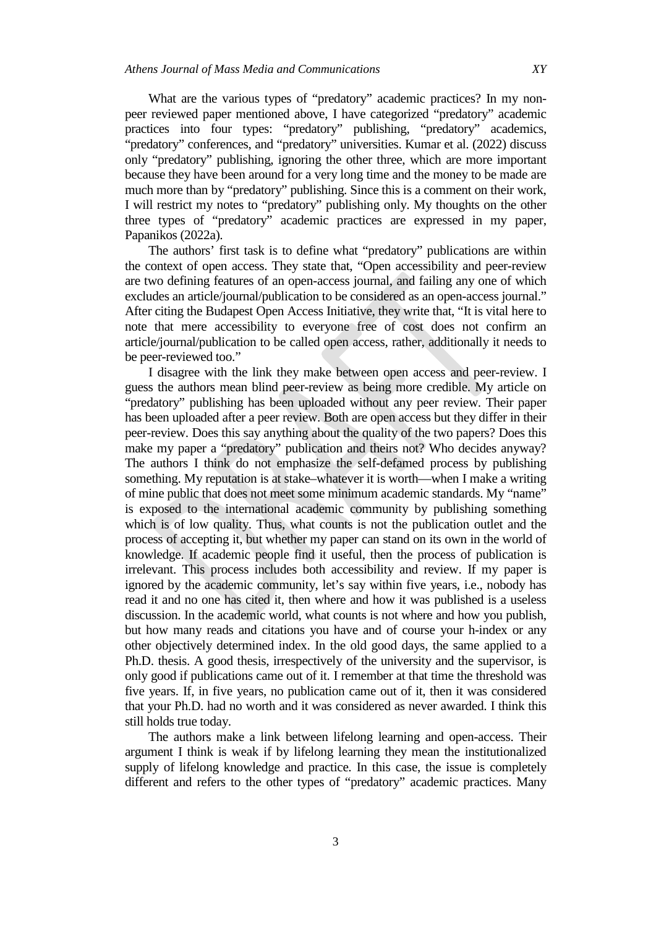Papanikos (2022a).

What are the various types of "predatory" academic practices? In my nonpeer reviewed paper mentioned above, I have categorized "predatory" academic practices into four types: "predatory" publishing, "predatory" academics, "predatory" conferences, and "predatory" universities. Kumar et al. (2022) discuss only "predatory" publishing, ignoring the other three, which are more important because they have been around for a very long time and the money to be made are much more than by "predatory" publishing. Since this is a comment on their work, I will restrict my notes to "predatory" publishing only. My thoughts on the other three types of "predatory" academic practices are expressed in my paper,

The authors' first task is to define what "predatory" publications are within the context of open access. They state that, "Open accessibility and peer-review are two defining features of an open-access journal, and failing any one of which excludes an article/journal/publication to be considered as an open-access journal." After citing the Budapest Open Access Initiative, they write that, "It is vital here to note that mere accessibility to everyone free of cost does not confirm an article/journal/publication to be called open access, rather, additionally it needs to be peer-reviewed too."

I disagree with the link they make between open access and peer-review. I guess the authors mean blind peer-review as being more credible. My article on "predatory" publishing has been uploaded without any peer review. Their paper has been uploaded after a peer review. Both are open access but they differ in their peer-review. Does this say anything about the quality of the two papers? Does this make my paper a "predatory" publication and theirs not? Who decides anyway? The authors I think do not emphasize the self-defamed process by publishing something. My reputation is at stake–whatever it is worth—when I make a writing of mine public that does not meet some minimum academic standards. My "name" is exposed to the international academic community by publishing something which is of low quality. Thus, what counts is not the publication outlet and the process of accepting it, but whether my paper can stand on its own in the world of knowledge. If academic people find it useful, then the process of publication is irrelevant. This process includes both accessibility and review. If my paper is ignored by the academic community, let's say within five years, i.e., nobody has read it and no one has cited it, then where and how it was published is a useless discussion. In the academic world, what counts is not where and how you publish, but how many reads and citations you have and of course your h-index or any other objectively determined index. In the old good days, the same applied to a Ph.D. thesis. A good thesis, irrespectively of the university and the supervisor, is only good if publications came out of it. I remember at that time the threshold was five years. If, in five years, no publication came out of it, then it was considered that your Ph.D. had no worth and it was considered as never awarded. I think this still holds true today.

The authors make a link between lifelong learning and open-access. Their argument I think is weak if by lifelong learning they mean the institutionalized supply of lifelong knowledge and practice. In this case, the issue is completely different and refers to the other types of "predatory" academic practices. Many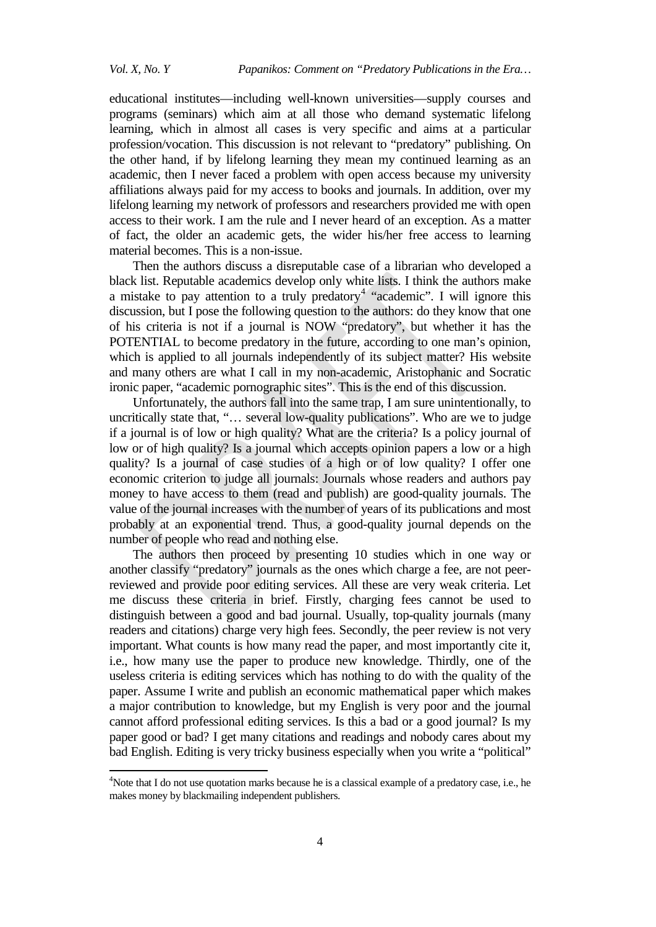educational institutes—including well-known universities—supply courses and programs (seminars) which aim at all those who demand systematic lifelong learning, which in almost all cases is very specific and aims at a particular profession/vocation. This discussion is not relevant to "predatory" publishing. On the other hand, if by lifelong learning they mean my continued learning as an academic, then I never faced a problem with open access because my university affiliations always paid for my access to books and journals. In addition, over my lifelong learning my network of professors and researchers provided me with open access to their work. I am the rule and I never heard of an exception. As a matter of fact, the older an academic gets, the wider his/her free access to learning material becomes. This is a non-issue.

Then the authors discuss a disreputable case of a librarian who developed a black list. Reputable academics develop only white lists. I think the authors make a mistake to pay attention to a truly predatory<sup>[4](#page-3-0)</sup> "academic". I will ignore this discussion, but I pose the following question to the authors: do they know that one of his criteria is not if a journal is NOW "predatory", but whether it has the POTENTIAL to become predatory in the future, according to one man's opinion, which is applied to all journals independently of its subject matter? His website and many others are what I call in my non-academic, Aristophanic and Socratic ironic paper, "academic pornographic sites". This is the end of this discussion.

Unfortunately, the authors fall into the same trap, I am sure unintentionally, to uncritically state that, "… several low-quality publications". Who are we to judge if a journal is of low or high quality? What are the criteria? Is a policy journal of low or of high quality? Is a journal which accepts opinion papers a low or a high quality? Is a journal of case studies of a high or of low quality? I offer one economic criterion to judge all journals: Journals whose readers and authors pay money to have access to them (read and publish) are good-quality journals. The value of the journal increases with the number of years of its publications and most probably at an exponential trend. Thus, a good-quality journal depends on the number of people who read and nothing else.

The authors then proceed by presenting 10 studies which in one way or another classify "predatory" journals as the ones which charge a fee, are not peerreviewed and provide poor editing services. All these are very weak criteria. Let me discuss these criteria in brief. Firstly, charging fees cannot be used to distinguish between a good and bad journal. Usually, top-quality journals (many readers and citations) charge very high fees. Secondly, the peer review is not very important. What counts is how many read the paper, and most importantly cite it, i.e., how many use the paper to produce new knowledge. Thirdly, one of the useless criteria is editing services which has nothing to do with the quality of the paper. Assume I write and publish an economic mathematical paper which makes a major contribution to knowledge, but my English is very poor and the journal cannot afford professional editing services. Is this a bad or a good journal? Is my paper good or bad? I get many citations and readings and nobody cares about my bad English. Editing is very tricky business especially when you write a "political"

<span id="page-3-0"></span> $\frac{1}{4}$ <sup>4</sup>Note that I do not use quotation marks because he is a classical example of a predatory case, i.e., he makes money by blackmailing independent publishers.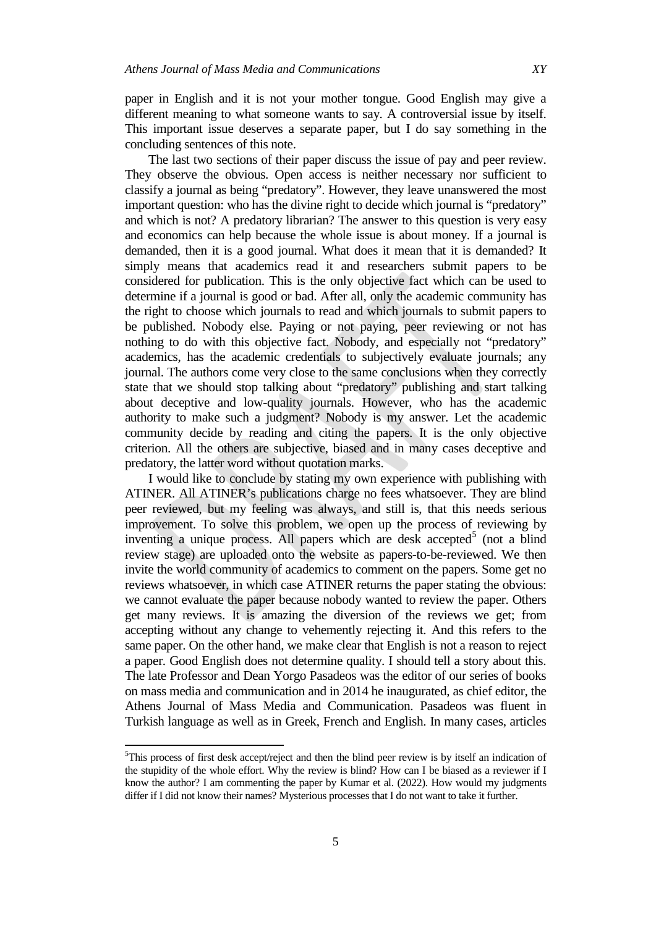paper in English and it is not your mother tongue. Good English may give a different meaning to what someone wants to say. A controversial issue by itself. This important issue deserves a separate paper, but I do say something in the concluding sentences of this note.

The last two sections of their paper discuss the issue of pay and peer review. They observe the obvious. Open access is neither necessary nor sufficient to classify a journal as being "predatory". However, they leave unanswered the most important question: who has the divine right to decide which journal is "predatory" and which is not? A predatory librarian? The answer to this question is very easy and economics can help because the whole issue is about money. If a journal is demanded, then it is a good journal. What does it mean that it is demanded? It simply means that academics read it and researchers submit papers to be considered for publication. This is the only objective fact which can be used to determine if a journal is good or bad. After all, only the academic community has the right to choose which journals to read and which journals to submit papers to be published. Nobody else. Paying or not paying, peer reviewing or not has nothing to do with this objective fact. Nobody, and especially not "predatory" academics, has the academic credentials to subjectively evaluate journals; any journal. The authors come very close to the same conclusions when they correctly state that we should stop talking about "predatory" publishing and start talking about deceptive and low-quality journals. However, who has the academic authority to make such a judgment? Nobody is my answer. Let the academic community decide by reading and citing the papers. It is the only objective criterion. All the others are subjective, biased and in many cases deceptive and predatory, the latter word without quotation marks.

I would like to conclude by stating my own experience with publishing with ATINER. All ATINER's publications charge no fees whatsoever. They are blind peer reviewed, but my feeling was always, and still is, that this needs serious improvement. To solve this problem, we open up the process of reviewing by inventing a unique process. All papers which are desk accepted<sup>[5](#page-4-0)</sup> (not a blind review stage) are uploaded onto the website as papers-to-be-reviewed. We then invite the world community of academics to comment on the papers. Some get no reviews whatsoever, in which case ATINER returns the paper stating the obvious: we cannot evaluate the paper because nobody wanted to review the paper. Others get many reviews. It is amazing the diversion of the reviews we get; from accepting without any change to vehemently rejecting it. And this refers to the same paper. On the other hand, we make clear that English is not a reason to reject a paper. Good English does not determine quality. I should tell a story about this. The late Professor and Dean Yorgo Pasadeos was the editor of our series of books on mass media and communication and in 2014 he inaugurated, as chief editor, the Athens Journal of Mass Media and Communication. Pasadeos was fluent in Turkish language as well as in Greek, French and English. In many cases, articles

<span id="page-4-0"></span><sup>-&</sup>lt;br>5  ${}^{5}$ This process of first desk accept/reject and then the blind peer review is by itself an indication of the stupidity of the whole effort. Why the review is blind? How can I be biased as a reviewer if I know the author? I am commenting the paper by Kumar et al. (2022). How would my judgments differ if I did not know their names? Mysterious processes that I do not want to take it further.